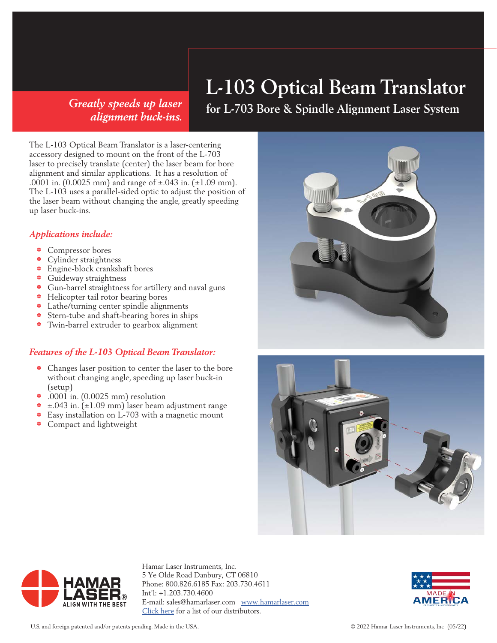# *alignment buck-ins.*

### **L-103 Optical Beam Translator**

**for L-703 Bore & Spindle Alignment Laser System** *Greatly speeds up laser* 

The L-103 Optical Beam Translator is a laser-centering accessory designed to mount on the front of the L-703 laser to precisely translate (center) the laser beam for bore alignment and similar applications. It has a resolution of .0001 in. (0.0025 mm) and range of ±.043 in. (±1.09 mm). The L-103 uses a parallel-sided optic to adjust the position of the laser beam without changing the angle, greatly speeding up laser buck-ins.

#### *Applications include:*

- Compressor bores
- Cylinder straightness
- 1 Engine-block crankshaft bores
- **•** Guideway straightness
- 1 Gun-barrel straightness for artillery and naval guns
- Helicopter tail rotor bearing bores
- Lathe/turning center spindle alignments
- <sup>•</sup> Stern-tube and shaft-bearing bores in ships
- 1 Twin-barrel extruder to gearbox alignment

#### *Features of the L-103 Optical Beam Translator:*

- 1 Changes laser position to center the laser to the bore without changing angle, speeding up laser buck-in (setup)
- $\bullet$  .0001 in. (0.0025 mm) resolution
- $\pm$ .043 in. ( $\pm$ 1.09 mm) laser beam adjustment range
- 1 Easy installation on L-703 with a magnetic mount
- **•** Compact and lightweight







Hamar Laser Instruments, Inc. 5 Ye Olde Road Danbury, CT 06810 Phone: 800.826.6185 Fax: 203.730.4611 Int'l: +1.203.730.4600 E-mail: sales@hamarlaser.com www.hamarlaser.com Click here for a list of our distributors.